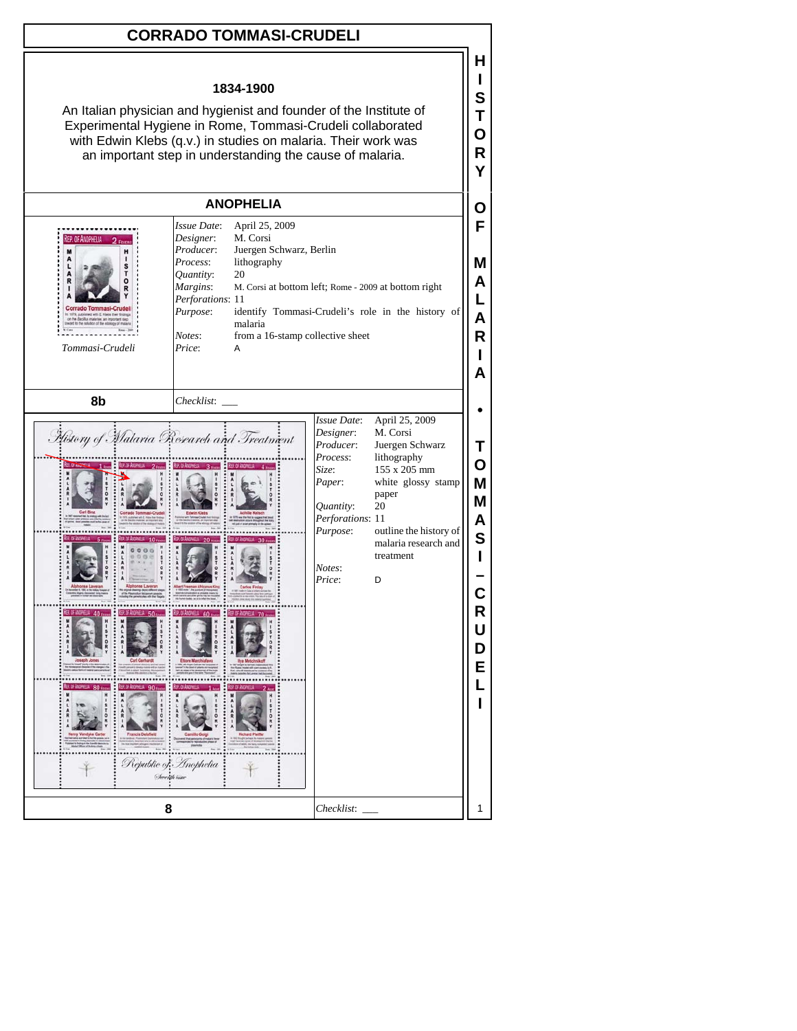